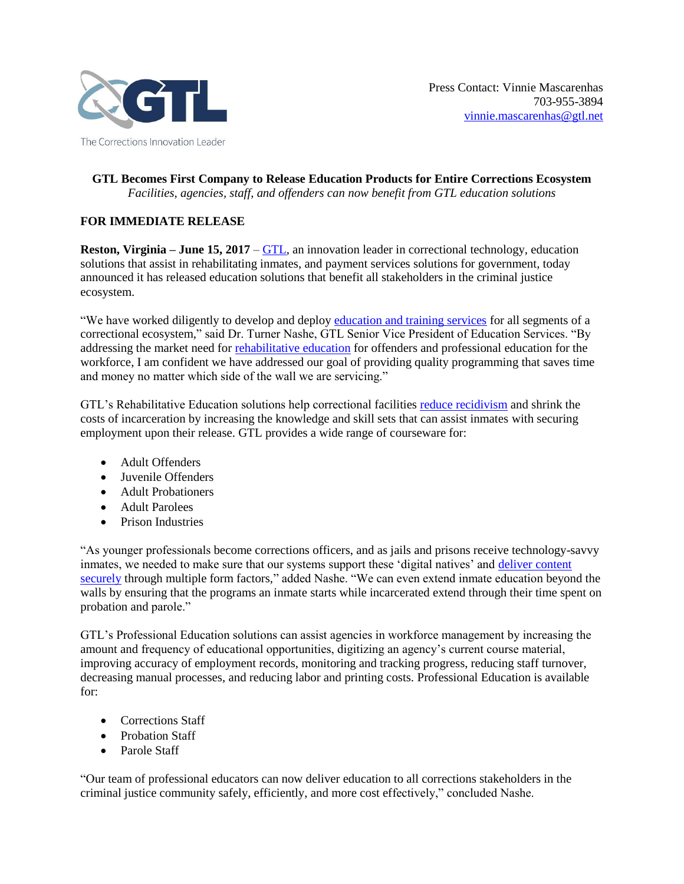

## **GTL Becomes First Company to Release Education Products for Entire Corrections Ecosystem** *Facilities, agencies, staff, and offenders can now benefit from GTL education solutions*

# **FOR IMMEDIATE RELEASE**

**Reston, Virginia – June 15, 2017** – [GTL,](http://www.gtl.net/) an innovation leader in correctional technology, education solutions that assist in rehabilitating inmates, and payment services solutions for government, today announced it has released education solutions that benefit all stakeholders in the criminal justice ecosystem.

"We have worked diligently to develop and deploy [education and training services](http://www.nashvillepost.com/business/prison-management/article/20853415/inmate-education-company-bought-by-big-industry-name) for all segments of a correctional ecosystem," said Dr. Turner Nashe, GTL Senior Vice President of Education Services. "By addressing the market need for [rehabilitative education](https://www.youtube.com/watch?v=N66HcvXLDws) for offenders and professional education for the workforce, I am confident we have addressed our goal of providing quality programming that saves time and money no matter which side of the wall we are servicing."

GTL's Rehabilitative Education solutions help correctional facilities [reduce recidivism](https://signalgroupdc.com/prison-education/) and shrink the costs of incarceration by increasing the knowledge and skill sets that can assist inmates with securing employment upon their release. GTL provides a wide range of courseware for:

- Adult Offenders
- Juvenile Offenders
- Adult Probationers
- Adult Parolees
- Prison Industries

"As younger professionals become corrections officers, and as jails and prisons receive technology-savvy inmates, we needed to make sure that our systems support these 'digital natives' and deliver content [securely](https://www.youtube.com/watch?v=p3NjUb1EibM) through multiple form factors," added Nashe. "We can even extend inmate education beyond the walls by ensuring that the programs an inmate starts while incarcerated extend through their time spent on probation and parole."

GTL's Professional Education solutions can assist agencies in workforce management by increasing the amount and frequency of educational opportunities, digitizing an agency's current course material, improving accuracy of employment records, monitoring and tracking progress, reducing staff turnover, decreasing manual processes, and reducing labor and printing costs. Professional Education is available for:

- Corrections Staff
- Probation Staff
- Parole Staff

"Our team of professional educators can now deliver education to all corrections stakeholders in the criminal justice community safely, efficiently, and more cost effectively," concluded Nashe.